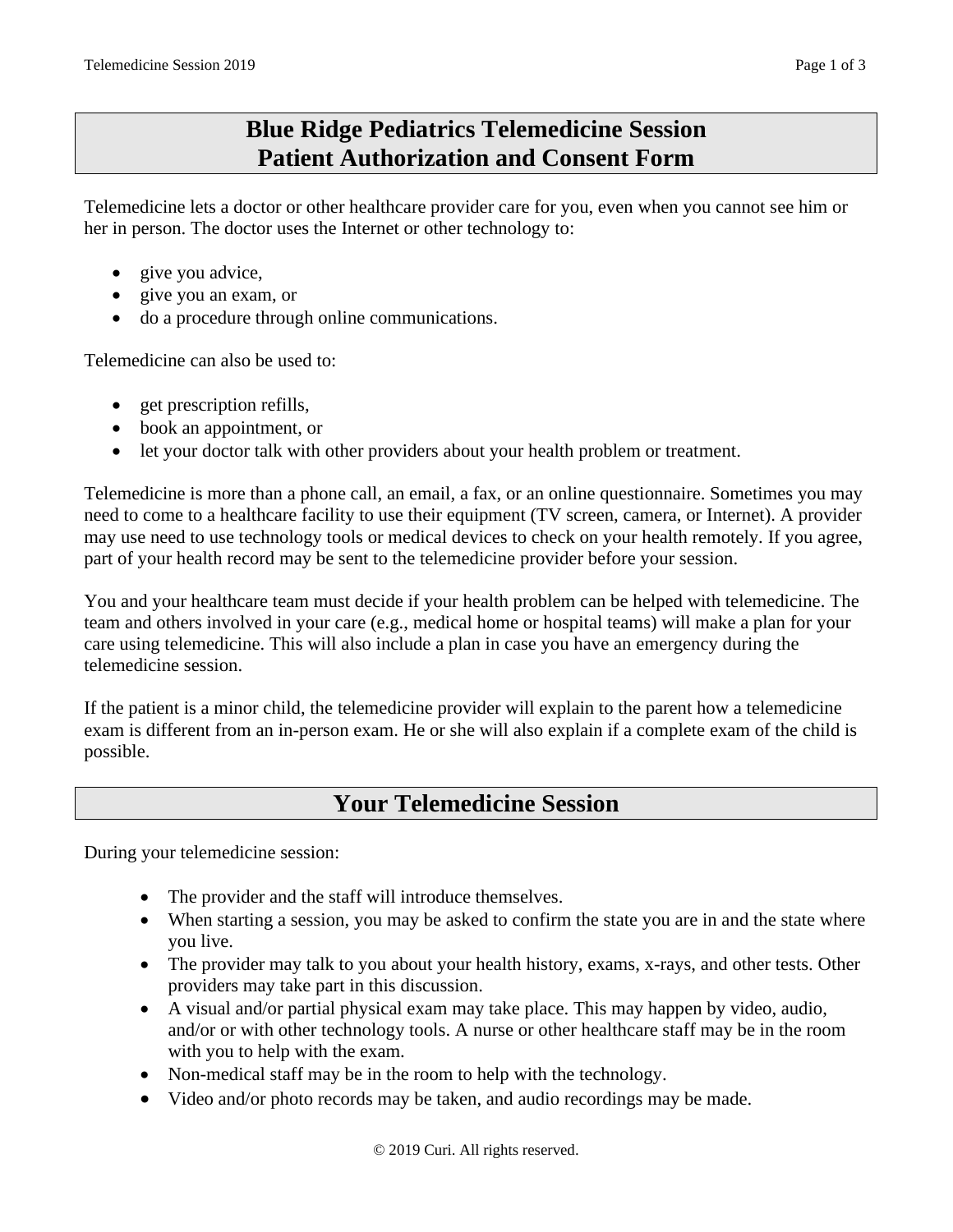# **Blue Ridge Pediatrics Telemedicine Session Patient Authorization and Consent Form**

Telemedicine lets a doctor or other healthcare provider care for you, even when you cannot see him or her in person. The doctor uses the Internet or other technology to:

- give you advice,
- give you an exam, or
- do a procedure through online communications.

Telemedicine can also be used to:

- get prescription refills,
- book an appointment, or
- let your doctor talk with other providers about your health problem or treatment.

Telemedicine is more than a phone call, an email, a fax, or an online questionnaire. Sometimes you may need to come to a healthcare facility to use their equipment (TV screen, camera, or Internet). A provider may use need to use technology tools or medical devices to check on your health remotely. If you agree, part of your health record may be sent to the telemedicine provider before your session.

You and your healthcare team must decide if your health problem can be helped with telemedicine. The team and others involved in your care (e.g., medical home or hospital teams) will make a plan for your care using telemedicine. This will also include a plan in case you have an emergency during the telemedicine session.

If the patient is a minor child, the telemedicine provider will explain to the parent how a telemedicine exam is different from an in-person exam. He or she will also explain if a complete exam of the child is possible.

## **Your Telemedicine Session**

During your telemedicine session:

- The provider and the staff will introduce themselves.
- When starting a session, you may be asked to confirm the state you are in and the state where you live.
- The provider may talk to you about your health history, exams, x-rays, and other tests. Other providers may take part in this discussion.
- A visual and/or partial physical exam may take place. This may happen by video, audio, and/or or with other technology tools. A nurse or other healthcare staff may be in the room with you to help with the exam.
- Non-medical staff may be in the room to help with the technology.
- Video and/or photo records may be taken, and audio recordings may be made.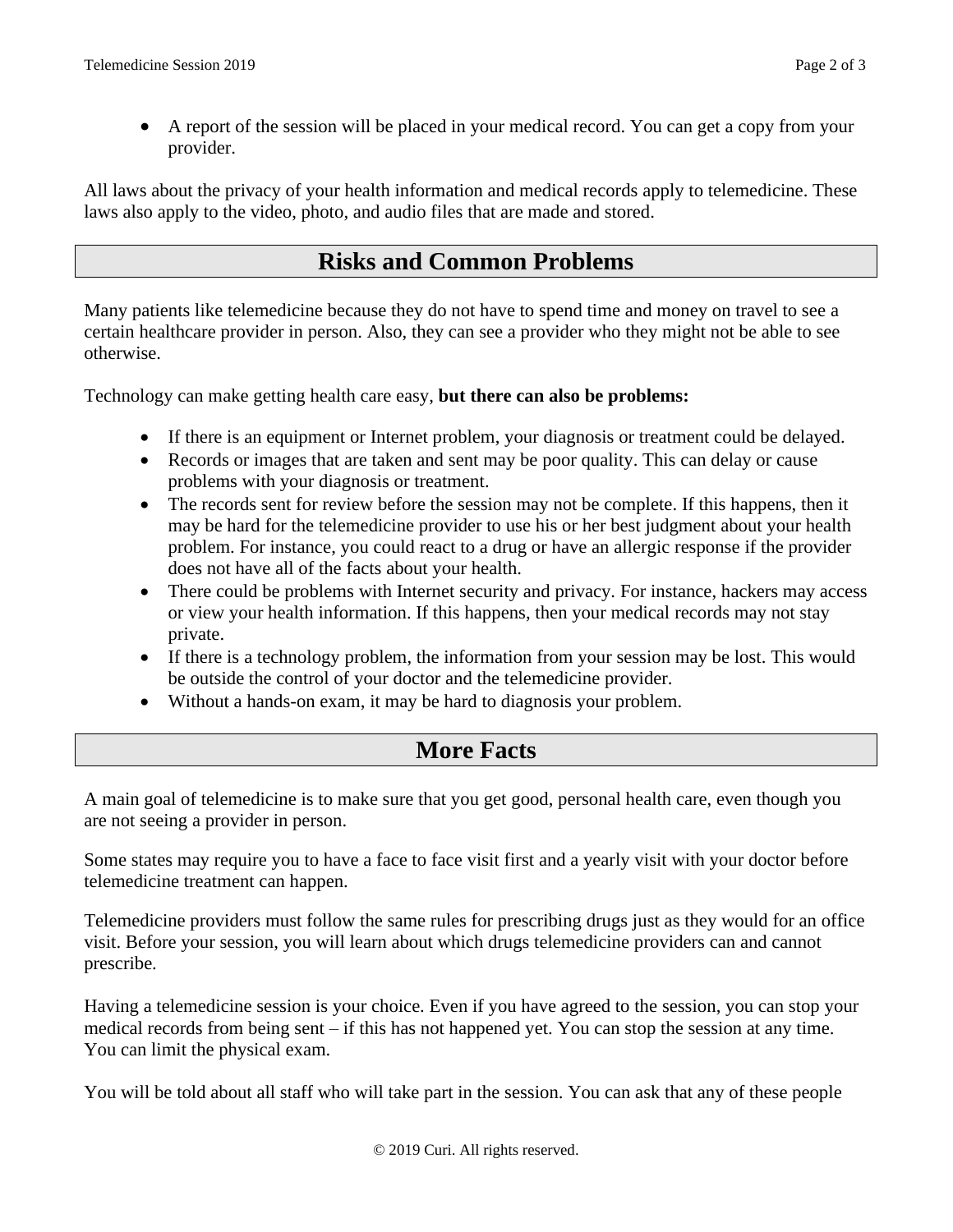• A report of the session will be placed in your medical record. You can get a copy from your provider.

All laws about the privacy of your health information and medical records apply to telemedicine. These laws also apply to the video, photo, and audio files that are made and stored.

### **Risks and Common Problems**

Many patients like telemedicine because they do not have to spend time and money on travel to see a certain healthcare provider in person. Also, they can see a provider who they might not be able to see otherwise.

Technology can make getting health care easy, **but there can also be problems:**

- If there is an equipment or Internet problem, your diagnosis or treatment could be delayed.
- Records or images that are taken and sent may be poor quality. This can delay or cause problems with your diagnosis or treatment.
- The records sent for review before the session may not be complete. If this happens, then it may be hard for the telemedicine provider to use his or her best judgment about your health problem. For instance, you could react to a drug or have an allergic response if the provider does not have all of the facts about your health.
- There could be problems with Internet security and privacy. For instance, hackers may access or view your health information. If this happens, then your medical records may not stay private.
- If there is a technology problem, the information from your session may be lost. This would be outside the control of your doctor and the telemedicine provider.
- Without a hands-on exam, it may be hard to diagnosis your problem.

#### **More Facts**

A main goal of telemedicine is to make sure that you get good, personal health care, even though you are not seeing a provider in person.

Some states may require you to have a face to face visit first and a yearly visit with your doctor before telemedicine treatment can happen.

Telemedicine providers must follow the same rules for prescribing drugs just as they would for an office visit. Before your session, you will learn about which drugs telemedicine providers can and cannot prescribe.

Having a telemedicine session is your choice. Even if you have agreed to the session, you can stop your medical records from being sent – if this has not happened yet. You can stop the session at any time. You can limit the physical exam.

You will be told about all staff who will take part in the session. You can ask that any of these people